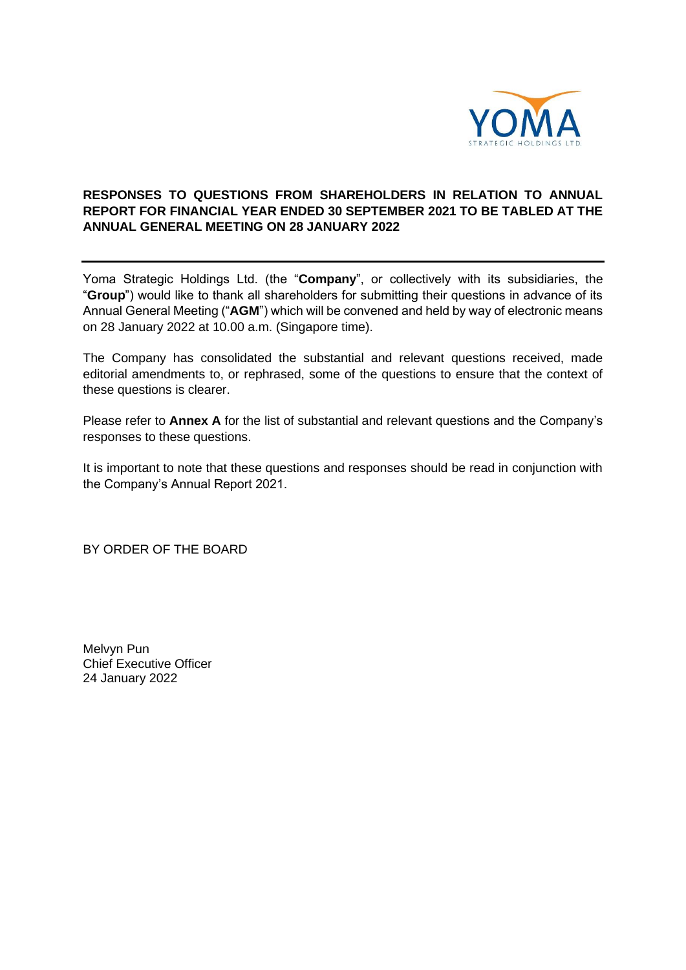

## **RESPONSES TO QUESTIONS FROM SHAREHOLDERS IN RELATION TO ANNUAL REPORT FOR FINANCIAL YEAR ENDED 30 SEPTEMBER 2021 TO BE TABLED AT THE ANNUAL GENERAL MEETING ON 28 JANUARY 2022**

Yoma Strategic Holdings Ltd. (the "**Company**", or collectively with its subsidiaries, the "**Group**") would like to thank all shareholders for submitting their questions in advance of its Annual General Meeting ("**AGM**") which will be convened and held by way of electronic means on 28 January 2022 at 10.00 a.m. (Singapore time).

The Company has consolidated the substantial and relevant questions received, made editorial amendments to, or rephrased, some of the questions to ensure that the context of these questions is clearer.

Please refer to **Annex A** for the list of substantial and relevant questions and the Company's responses to these questions.

It is important to note that these questions and responses should be read in conjunction with the Company's Annual Report 2021.

BY ORDER OF THE BOARD

Melvyn Pun Chief Executive Officer 24 January 2022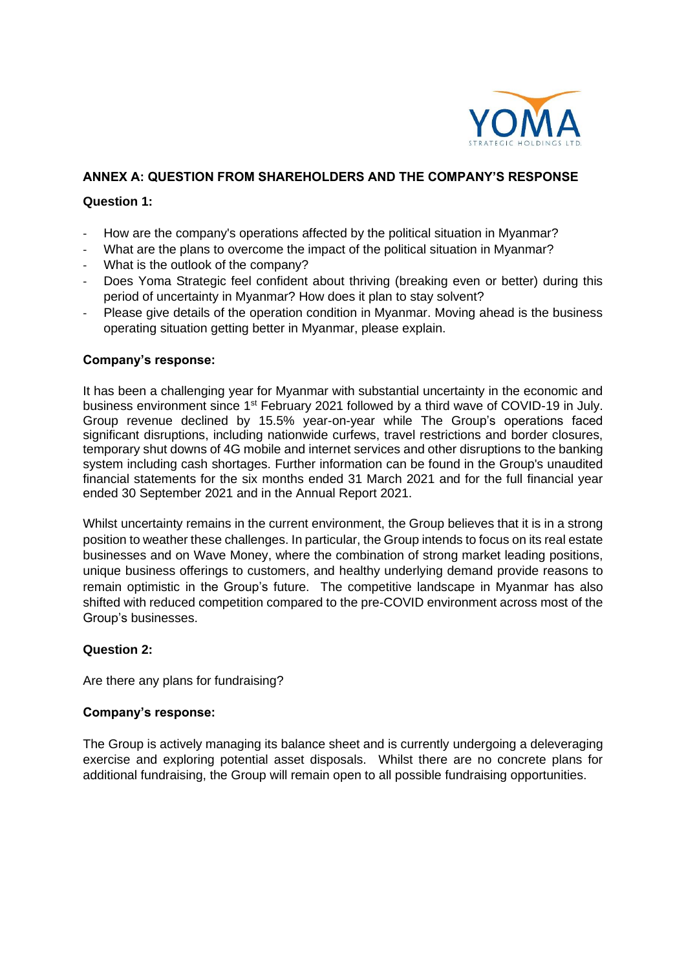

# **ANNEX A: QUESTION FROM SHAREHOLDERS AND THE COMPANY'S RESPONSE**

#### **Question 1:**

- How are the company's operations affected by the political situation in Myanmar?
- What are the plans to overcome the impact of the political situation in Myanmar?
- What is the outlook of the company?
- Does Yoma Strategic feel confident about thriving (breaking even or better) during this period of uncertainty in Myanmar? How does it plan to stay solvent?
- Please give details of the operation condition in Myanmar. Moving ahead is the business operating situation getting better in Myanmar, please explain.

#### **Company's response:**

It has been a challenging year for Myanmar with substantial uncertainty in the economic and business environment since 1<sup>st</sup> February 2021 followed by a third wave of COVID-19 in July. Group revenue declined by 15.5% year-on-year while The Group's operations faced significant disruptions, including nationwide curfews, travel restrictions and border closures, temporary shut downs of 4G mobile and internet services and other disruptions to the banking system including cash shortages. Further information can be found in the Group's unaudited financial statements for the six months ended 31 March 2021 and for the full financial year ended 30 September 2021 and in the Annual Report 2021.

Whilst uncertainty remains in the current environment, the Group believes that it is in a strong position to weather these challenges. In particular, the Group intends to focus on its real estate businesses and on Wave Money, where the combination of strong market leading positions, unique business offerings to customers, and healthy underlying demand provide reasons to remain optimistic in the Group's future. The competitive landscape in Myanmar has also shifted with reduced competition compared to the pre-COVID environment across most of the Group's businesses.

#### **Question 2:**

Are there any plans for fundraising?

#### **Company's response:**

The Group is actively managing its balance sheet and is currently undergoing a deleveraging exercise and exploring potential asset disposals. Whilst there are no concrete plans for additional fundraising, the Group will remain open to all possible fundraising opportunities.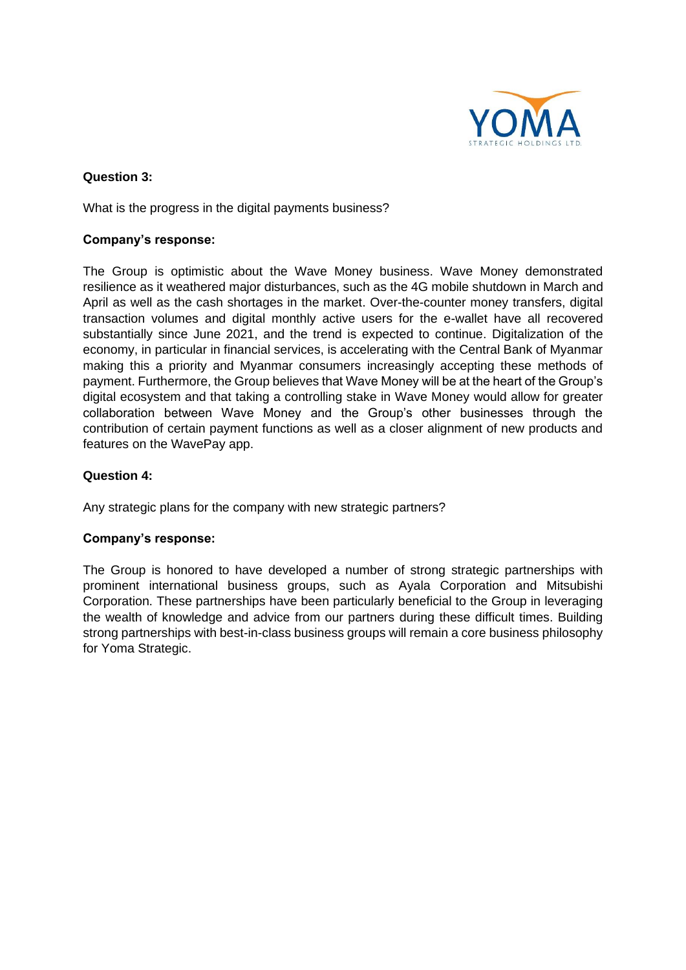

## **Question 3:**

What is the progress in the digital payments business?

## **Company's response:**

The Group is optimistic about the Wave Money business. Wave Money demonstrated resilience as it weathered major disturbances, such as the 4G mobile shutdown in March and April as well as the cash shortages in the market. Over-the-counter money transfers, digital transaction volumes and digital monthly active users for the e-wallet have all recovered substantially since June 2021, and the trend is expected to continue. Digitalization of the economy, in particular in financial services, is accelerating with the Central Bank of Myanmar making this a priority and Myanmar consumers increasingly accepting these methods of payment. Furthermore, the Group believes that Wave Money will be at the heart of the Group's digital ecosystem and that taking a controlling stake in Wave Money would allow for greater collaboration between Wave Money and the Group's other businesses through the contribution of certain payment functions as well as a closer alignment of new products and features on the WavePay app.

# **Question 4:**

Any strategic plans for the company with new strategic partners?

#### **Company's response:**

The Group is honored to have developed a number of strong strategic partnerships with prominent international business groups, such as Ayala Corporation and Mitsubishi Corporation. These partnerships have been particularly beneficial to the Group in leveraging the wealth of knowledge and advice from our partners during these difficult times. Building strong partnerships with best-in-class business groups will remain a core business philosophy for Yoma Strategic.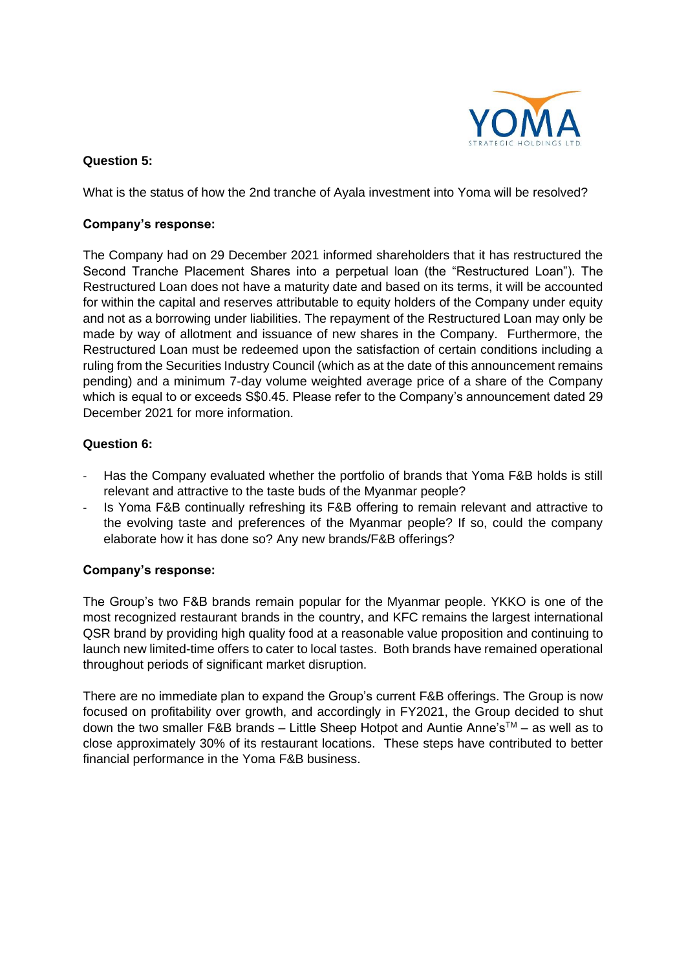

# **Question 5:**

What is the status of how the 2nd tranche of Ayala investment into Yoma will be resolved?

## **Company's response:**

The Company had on 29 December 2021 informed shareholders that it has restructured the Second Tranche Placement Shares into a perpetual loan (the "Restructured Loan"). The Restructured Loan does not have a maturity date and based on its terms, it will be accounted for within the capital and reserves attributable to equity holders of the Company under equity and not as a borrowing under liabilities. The repayment of the Restructured Loan may only be made by way of allotment and issuance of new shares in the Company. Furthermore, the Restructured Loan must be redeemed upon the satisfaction of certain conditions including a ruling from the Securities Industry Council (which as at the date of this announcement remains pending) and a minimum 7-day volume weighted average price of a share of the Company which is equal to or exceeds S\$0.45. Please refer to the Company's announcement dated 29 December 2021 for more information.

# **Question 6:**

- Has the Company evaluated whether the portfolio of brands that Yoma F&B holds is still relevant and attractive to the taste buds of the Myanmar people?
- Is Yoma F&B continually refreshing its F&B offering to remain relevant and attractive to the evolving taste and preferences of the Myanmar people? If so, could the company elaborate how it has done so? Any new brands/F&B offerings?

#### **Company's response:**

The Group's two F&B brands remain popular for the Myanmar people. YKKO is one of the most recognized restaurant brands in the country, and KFC remains the largest international QSR brand by providing high quality food at a reasonable value proposition and continuing to launch new limited-time offers to cater to local tastes. Both brands have remained operational throughout periods of significant market disruption.

There are no immediate plan to expand the Group's current F&B offerings. The Group is now focused on profitability over growth, and accordingly in FY2021, the Group decided to shut down the two smaller F&B brands – Little Sheep Hotpot and Auntie Anne's<sup>TM</sup> – as well as to close approximately 30% of its restaurant locations. These steps have contributed to better financial performance in the Yoma F&B business.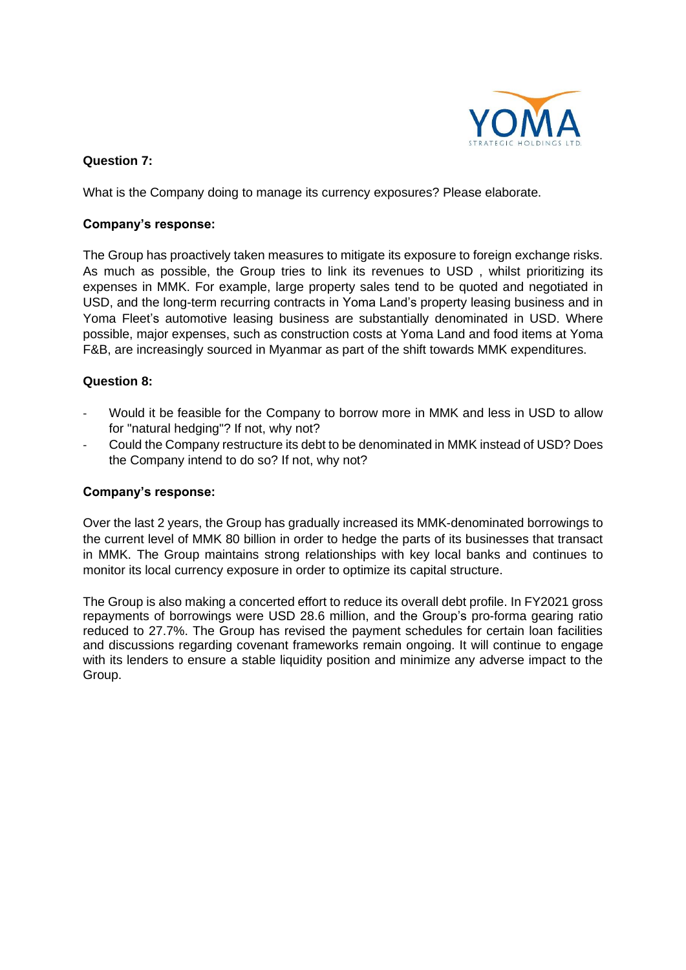

## **Question 7:**

What is the Company doing to manage its currency exposures? Please elaborate.

#### **Company's response:**

The Group has proactively taken measures to mitigate its exposure to foreign exchange risks. As much as possible, the Group tries to link its revenues to USD , whilst prioritizing its expenses in MMK. For example, large property sales tend to be quoted and negotiated in USD, and the long-term recurring contracts in Yoma Land's property leasing business and in Yoma Fleet's automotive leasing business are substantially denominated in USD. Where possible, major expenses, such as construction costs at Yoma Land and food items at Yoma F&B, are increasingly sourced in Myanmar as part of the shift towards MMK expenditures.

# **Question 8:**

- Would it be feasible for the Company to borrow more in MMK and less in USD to allow for "natural hedging"? If not, why not?
- Could the Company restructure its debt to be denominated in MMK instead of USD? Does the Company intend to do so? If not, why not?

#### **Company's response:**

Over the last 2 years, the Group has gradually increased its MMK-denominated borrowings to the current level of MMK 80 billion in order to hedge the parts of its businesses that transact in MMK. The Group maintains strong relationships with key local banks and continues to monitor its local currency exposure in order to optimize its capital structure.

The Group is also making a concerted effort to reduce its overall debt profile. In FY2021 gross repayments of borrowings were USD 28.6 million, and the Group's pro-forma gearing ratio reduced to 27.7%. The Group has revised the payment schedules for certain loan facilities and discussions regarding covenant frameworks remain ongoing. It will continue to engage with its lenders to ensure a stable liquidity position and minimize any adverse impact to the Group.